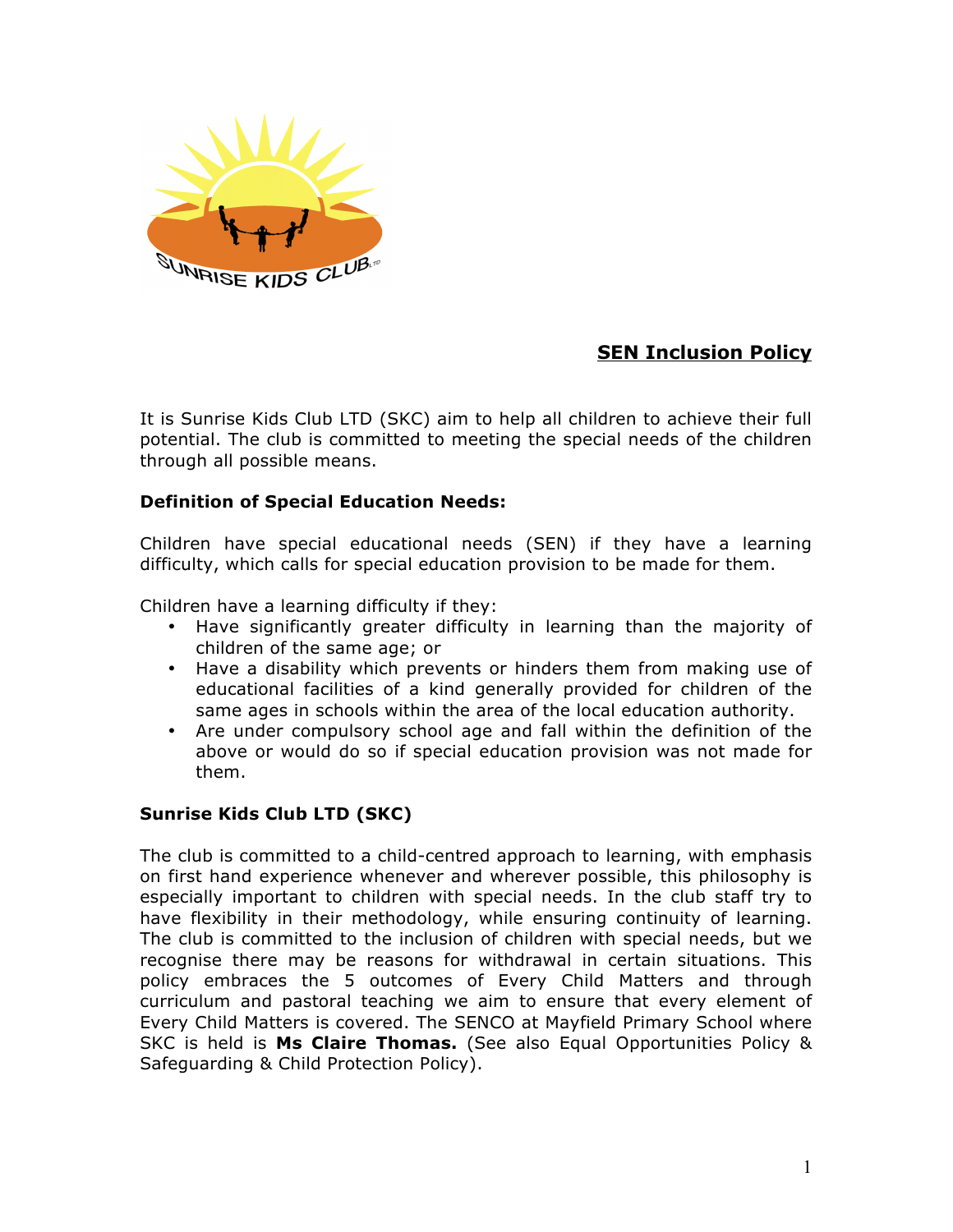

# **SEN Inclusion Policy**

It is Sunrise Kids Club LTD (SKC) aim to help all children to achieve their full potential. The club is committed to meeting the special needs of the children through all possible means.

## **Definition of Special Education Needs:**

Children have special educational needs (SEN) if they have a learning difficulty, which calls for special education provision to be made for them.

Children have a learning difficulty if they:

- Have significantly greater difficulty in learning than the majority of children of the same age; or
- Have a disability which prevents or hinders them from making use of educational facilities of a kind generally provided for children of the same ages in schools within the area of the local education authority.
- Are under compulsory school age and fall within the definition of the above or would do so if special education provision was not made for them.

## **Sunrise Kids Club LTD (SKC)**

The club is committed to a child-centred approach to learning, with emphasis on first hand experience whenever and wherever possible, this philosophy is especially important to children with special needs. In the club staff try to have flexibility in their methodology, while ensuring continuity of learning. The club is committed to the inclusion of children with special needs, but we recognise there may be reasons for withdrawal in certain situations. This policy embraces the 5 outcomes of Every Child Matters and through curriculum and pastoral teaching we aim to ensure that every element of Every Child Matters is covered. The SENCO at Mayfield Primary School where SKC is held is **Ms Claire Thomas.** (See also Equal Opportunities Policy & Safeguarding & Child Protection Policy).